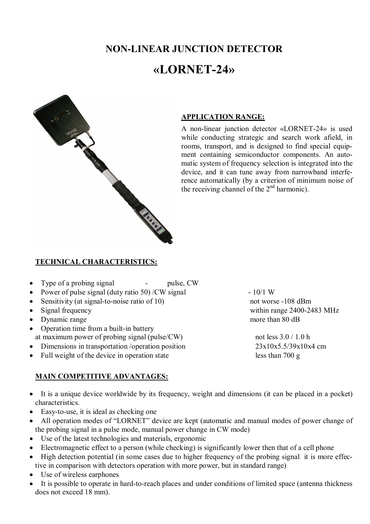# **NON-LINEAR JUNCTION DETECTOR**

# **«LORNET-24»**



#### **APPLICATION RANGE:**

A non-linear junction detector «LORNET-24» is used while conducting strategic and search work afield, in rooms, transport, and is designed to find special equipment containing semiconductor components. An automatic system of frequency selection is integrated into the device, and it can tune away from narrowband interference automatically (by a criterion of minimum noise of the receiving channel of the  $2<sup>nd</sup>$  harmonic).

#### **TECHNICAL CHARACTERISTICS:**

- Type of a probing signal pulse, CW
- Power of pulse signal (duty ratio 50) /CW signal  $-10/1 \text{ W}$
- Sensitivity (at signal-to-noise ratio of 10) not worse -108 dBm
- 
- Dynamic range more than 80 dB
- Operation time from a built-in battery at maximum power of probing signal (pulse/CW) not less  $3.0 / 1.0$  h
- Dimensions in transportation /operation position 23x10x5.5/39x10x4 cm
- Full weight of the device in operation state less than 700 g

## **MAIN COMPETITIVE ADVANTAGES:**

• Signal frequency within range 2400-2483 MHz

- It is a unique device worldwide by its frequency, weight and dimensions (it can be placed in a pocket) characteristics.
- Easy-to-use, it is ideal as checking one
- All operation modes of "LORNET" device are kept (automatic and manual modes of power change of the probing signal in a pulse mode, manual power change in CW mode)
- Use of the latest technologies and materials, ergonomic
- Electromagnetic effect to a person (while checking) is significantly lower then that of a cell phone
- High detection potential (in some cases due to higher frequency of the probing signal it is more effective in comparison with detectors operation with more power, but in standard range)
- Use of wireless earphones
- It is possible to operate in hard-to-reach places and under conditions of limited space (antenna thickness does not exceed 18 mm).